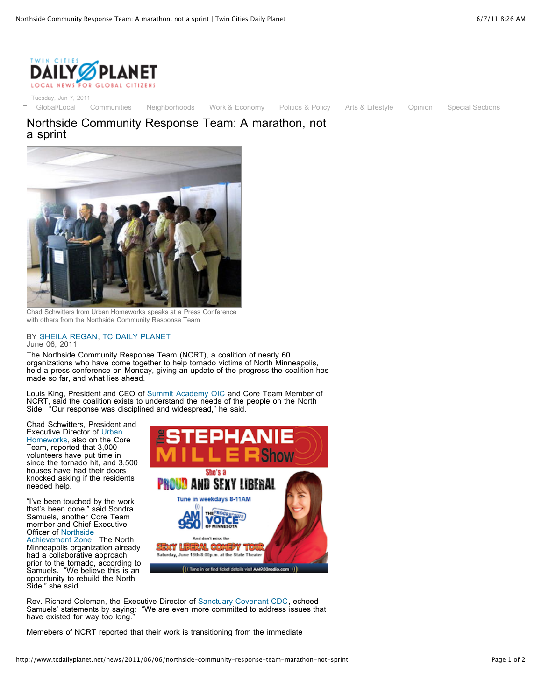

Tuesday, Jun 7, 2011

[Global/Local](http://www.tcdailyplanet.net/category/section/global/local) [Communities](http://www.tcdailyplanet.net/category/section/communities) [Neighborhoods](http://www.tcdailyplanet.net/neighborhood) [Work & Economy](http://www.tcdailyplanet.net/category/section/work-economy) [Politics & Policy](http://www.tcdailyplanet.net/category/section/politics-policy) [Arts & Lifestyle](http://www.tcdailyplanet.net/category/section/arts) [Opinion](http://www.tcdailyplanet.net/category/section/opinion) [Special Sections](http://www.tcdailyplanet.net/category/section/opinion)

## Northside Community Response Team: A marathon, not a sprint



Chad Schwitters from Urban Homeworks speaks at a Press Conference with others from the Northside Community Response Team

## BY [SHEILA REGAN,](http://www.tcdailyplanet.net/profiles/sheila-regan) [TC DAILY PLANET](http://www.tcdailyplanet.net/media-partner/2008/10/01/twin-cities-daily-planet.html) June 06, 2011

The Northside Community Response Team (NCRT), a coalition of nearly 60 organizations who have come together to help tornado victims of North Minneapolis, held a press conference on Monday, giving an update of the progress the coalition has made so far, and what lies ahead.

Louis King, President and CEO of [Summit Academy OIC](http://www.saoic.org/Home.html) and Core Team Member of NCRT, said the coalition exists to understand the needs of the people on the North Side. "Our response was disciplined and widespread," he said.

Chad Schwitters, President and Executive Director of Urban [Homeworks, also on the Co](http://urbanhomeworks.com/)re Team, reported that 3,000 volunteers have put time in since the tornado hit, and 3,500 houses have had their doors knocked asking if the residents needed help.

"I've been touched by the work that's been done," said Sondra Samuels, another Core Team member and Chief Executive Officer of Northside

[Achievement Zone.](http://northsideachievement.org/) The North Minneapolis organization already had a collaborative approach prior to the tornado, according to Samuels. "We believe this is an opportunity to rebuild the North Side," she said.



Rev. Richard Coleman, the Executive Director of [Sanctuary Covenant CDC,](http://www.sanctuarycdc.org/) echoed Samuels' statements by saying: "We are even more committed to address issues th "We are even more committed to address issues that have existed for way too long.

Memebers of NCRT reported that their work is transitioning from the immediate